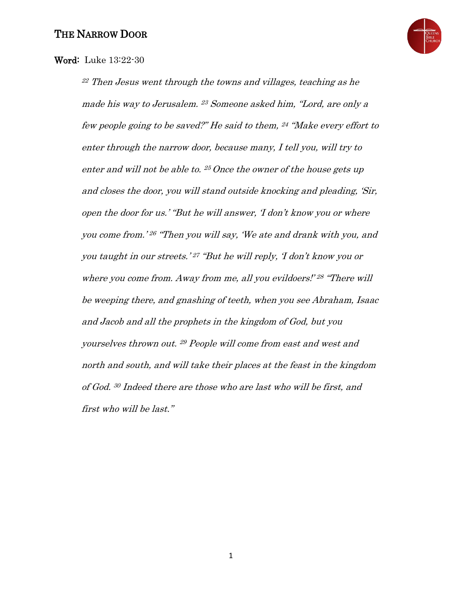

## Word: Luke 13:22-30

<sup>22</sup> Then Jesus went through the towns and villages, teaching as he made his way to Jerusalem. <sup>23</sup> Someone asked him, "Lord, are only a few people going to be saved?" He said to them, <sup>24</sup> "Make every effort to enter through the narrow door, because many, I tell you, will try to enter and will not be able to. <sup>25</sup>Once the owner of the house gets up and closes the door, you will stand outside knocking and pleading, 'Sir, open the door for us.' "But he will answer, 'I don't know you or where you come from.' <sup>26</sup> "Then you will say, 'We ate and drank with you, and you taught in our streets.' <sup>27</sup> "But he will reply, 'I don't know you or where you come from. Away from me, all you evildoers!' 28 "There will be weeping there, and gnashing of teeth, when you see Abraham, Isaac and Jacob and all the prophets in the kingdom of God, but you yourselves thrown out. <sup>29</sup> People will come from east and west and north and south, and will take their places at the feast in the kingdom of God. <sup>30</sup> Indeed there are those who are last who will be first, and first who will be last."